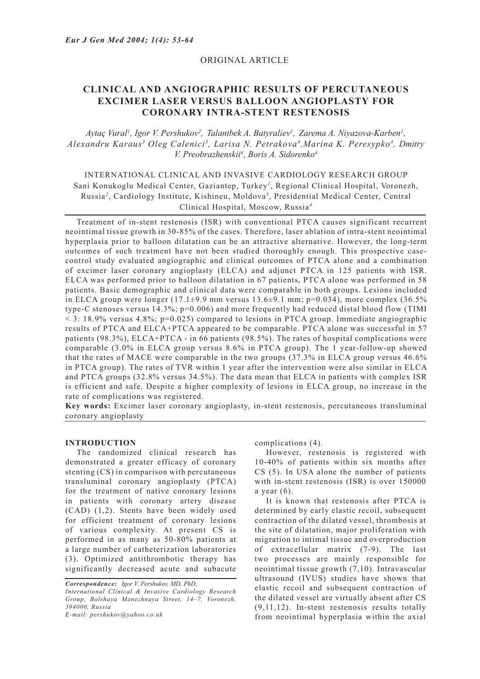## ORIGINAL ARTICLE

# **CLINICAL AND ANGIOGRAPHIC RESULTS OF PERCUTANEOUS EXCIMER LASER VERSUS BALLOON ANGIOPLASTY FOR CORONARY INTRA-STENT RESTENOSIS**

Aytaç Vural<sup>ı</sup>, Igor V. Pershukov<sup>2</sup>, Talantbek A. Batyraliev<sup>1</sup>, Zarema A. Niyazova-Karben<sup>1</sup>, *Alexandru Karaus3 Oleg Calenici3 , Larisa N. Petrakova4 ,Marina K. Peresypko4 , Dmitry V. Preobrazhenskii4 , Boris A. Sidorenko4*

## INTERNATIONAL CLINICAL AND INVASIVE CARDIOLOGY RESEARCH GROUP Sani Konukoglu Medical Center, Gaziantep, Turkey*<sup>1</sup>* , Regional Clinical Hospital, Voronezh, Russia*<sup>2</sup>* , Cardiology Institute, Kishineu, Moldova*<sup>3</sup>* , Presidential Medical Center, Central Clinical Hospital, Moscow, Russia*<sup>4</sup>*

Treatment of in-stent restenosis (ISR) with conventional PTCA causes significant recurrent neointimal tissue growth in 30-85% of the cases. Therefore, laser ablation of intra-stent neointimal hyperplasia prior to balloon dilatation can be an attractive alternative. However, the long-term outcomes of such treatment have not been studied thoroughly enough. This prospective casecontrol study evaluated angiographic and clinical outcomes of PTCA alone and a combination of excimer laser coronary angioplasty (ELCA) and adjunct PTCA in 125 patients with ISR. ELCA was performed prior to balloon dilatation in 67 patients, PTCA alone was performed in 58 patients. Basic demographic and clinical data were comparable in both groups. Lesions included in ELCA group were longer  $(17.1\pm9.9 \text{ mm}$  versus  $13.6\pm9.1 \text{ mm}$ ; p=0.034), more complex  $(36.5\%$ type-C stenoses versus 14.3%; p=0.006) and more frequently had reduced distal blood flow (TIMI  $<$  3: 18.9% versus 4.8%; p=0.025) compared to lesions in PTCA group. Immediate angiographic results of PTCA and ELCA+PTCA appeared to be comparable. PTCA alone was successful in 57 patients (98.3%), ELCA+PTCA - in 66 patients (98.5%). The rates of hospital complications were comparable (3.0% in ELCA group versus 8.6% in PTCA group). The 1 year-follow-up showed that the rates of MACE were comparable in the two groups (37.3% in ELCA group versus 46.6% in PTCA group). The rates of TVR within 1 year after the intervention were also similar in ELCA and PTCA groups (32.8% versus 34.5%). The data mean that ELCA in patients with complex ISR is efficient and safe. Despite a higher complexity of lesions in ELCA group, no increase in the rate of complications was registered.

**Key words:** Excimer laser coronary angioplasty, in-stent restenosis, percutaneous transluminal coronary angioplasty

#### **INTRODUCTION**

The randomized clinical research has demonstrated a greater efficacy of coronary stenting (CS) in comparison with percutaneous transluminal coronary angioplasty (PTCA) for the treatment of native coronary lesions in patients with coronary artery disease (CAD) (1,2). Stents have been widely used for efficient treatment of coronary lesions of various complexity. At present CS is performed in as many as 50-80% patients at a large number of catheterization laboratories (3). Optimized antithrombotic therapy has significantly decreased acute and subacute complications (4).

However, restenosis is registered with 10-40% of patients within six months after CS (5). In USA alone the number of patients with in-stent restenosis (ISR) is over  $150000$ a year (6).

It is known that restenosis after PTCA is determined by early elastic recoil, subsequent contraction of the dilated vessel, thrombosis at the site of dilatation, major proliferation with migration to intimal tissue and overproduction of extracellular matrix (7-9). The last two processes are mainly responsible for neointimal tissue growth (7,10). Intravascular ultrasound (IVUS) studies have shown that elastic recoil and subsequent contraction of the dilated vessel are virtually absent after CS (9,11,12). In-stent restenosis results totally from neointimal hyperplasia within the axial

*Correspondence: Igor V. Pershukov, MD, PhD, International Clinical & Invasive Cardiology Research Group, Bolshaya Manezhnaya Street, 14–7, Voronezh, 394000, Russia E-mail: pershukov@yahoo.co.uk*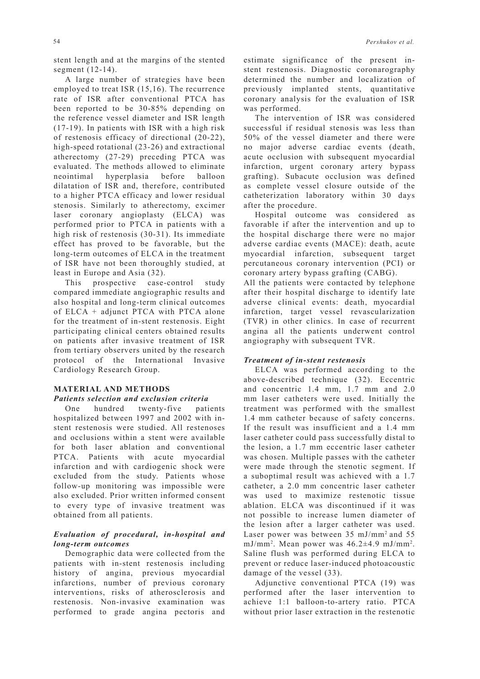stent length and at the margins of the stented segment (12-14).

A large number of strategies have been employed to treat ISR (15,16). The recurrence rate of ISR after conventional PTCA has been reported to be 30-85% depending on the reference vessel diameter and ISR length (17-19). In patients with ISR with a high risk of restenosis efficacy of directional (20-22), high-speed rotational (23-26) and extractional atherectomy (27-29) preceding PTCA was evaluated. The methods allowed to eliminate neointimal hyperplasia before balloon dilatation of ISR and, therefore, contributed to a higher PTCA efficacy and lower residual stenosis. Similarly to atherectomy, excimer laser coronary angioplasty (ELCA) was performed prior to PTCA in patients with a high risk of restenosis (30-31). Its immediate effect has proved to be favorable, but the long-term outcomes of ELCA in the treatment of ISR have not been thoroughly studied, at least in Europe and Asia (32).

This prospective case-control study compared immediate angiographic results and also hospital and long-term clinical outcomes of ELCA + adjunct PTCA with PTCA alone for the treatment of in-stent restenosis. Eight participating clinical centers obtained results on patients after invasive treatment of ISR from tertiary observers united by the research protocol of the International Invasive Cardiology Research Group.

#### **MATERIAL AND METHODS**

#### *Patients selection and exclusion criteria*

One hundred twenty-five patients hospitalized between 1997 and 2002 with instent restenosis were studied. All restenoses and occlusions within a stent were available for both laser ablation and conventional PTCA. Patients with acute myocardial infarction and with cardiogenic shock were excluded from the study. Patients whose follow-up monitoring was impossible were also excluded. Prior written informed consent to every type of invasive treatment was obtained from all patients.

## *Evaluation of procedural, in-hospital and long-term outcomes*

Demographic data were collected from the patients with in-stent restenosis including history of angina, previous myocardial infarctions, number of previous coronary interventions, risks of atherosclerosis and restenosis. Non-invasive examination was performed to grade angina pectoris and

estimate significance of the present instent restenosis. Diagnostic coronarography determined the number and localization of previously implanted stents, quantitative coronary analysis for the evaluation of ISR was performed.

The intervention of ISR was considered successful if residual stenosis was less than 50% of the vessel diameter and there were no major adverse cardiac events (death, acute occlusion with subsequent myocardial infarction, urgent coronary artery bypass grafting). Subacute occlusion was defined as complete vessel closure outside of the catheterization laboratory within 30 days after the procedure.

Hospital outcome was considered as favorable if after the intervention and up to the hospital discharge there were no major adverse cardiac events (MACE): death, acute myocardial infarction, subsequent target percutaneous coronary intervention (PCI) or coronary artery bypass grafting (CABG).

All the patients were contacted by telephone after their hospital discharge to identify late adverse clinical events: death, myocardial infarction, target vessel revascularization (TVR) in other clinics. In case of recurrent angina all the patients underwent control angiography with subsequent TVR.

#### *Treatment of in-stent restenosis*

ELCA was performed according to the above-described technique (32). Eccentric and concentric 1.4 mm, 1.7 mm and 2.0 mm laser catheters were used. Initially the treatment was performed with the smallest 1.4 mm catheter because of safety concerns. If the result was insufficient and a 1.4 mm laser catheter could pass successfully distal to the lesion, a 1.7 mm eccentric laser catheter was chosen. Multiple passes with the catheter were made through the stenotic segment. If a suboptimal result was achieved with a 1.7 catheter, a 2.0 mm concentric laser catheter was used to maximize restenotic tissue ablation. ELCA was discontinued if it was not possible to increase lumen diameter of the lesion after a larger catheter was used. Laser power was between 35 mJ/mm2 and 55 mJ/mm2 . Mean power was 46.2±4.9 mJ/mm2 . Saline flush was performed during ELCA to prevent or reduce laser-induced photoacoustic damage of the vessel (33).

Adjunctive conventional PTCA (19) was performed after the laser intervention to achieve 1:1 balloon-to-artery ratio. PTCA without prior laser extraction in the restenotic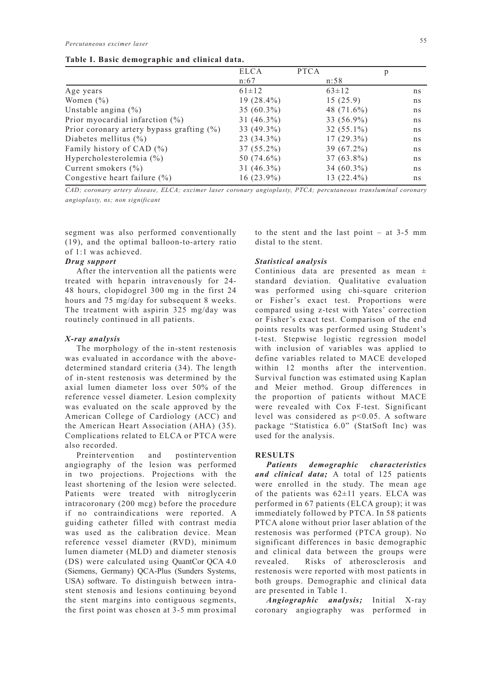|  |  |  |  |  | Table I. Basic demographic and clinical data. |  |
|--|--|--|--|--|-----------------------------------------------|--|
|--|--|--|--|--|-----------------------------------------------|--|

|                                              | <b>ELCA</b>   | <b>PTCA</b>   | p  |
|----------------------------------------------|---------------|---------------|----|
|                                              | n:67          | n:58          |    |
| Age years                                    | $61 \pm 12$   | $63 \pm 12$   | ns |
| Women $(\% )$                                | $19(28.4\%)$  | 15(25.9)      | ns |
| Unstable angina $(\% )$                      | $35(60.3\%)$  | 48 $(71.6\%)$ | ns |
| Prior myocardial infarction $(\%)$           | $31 (46.3\%)$ | 33 (56.9%)    | ns |
| Prior coronary artery bypass grafting $(\%)$ | 33 (49.3%)    | $32(55.1\%)$  | ns |
| Diabetes mellitus $(\% )$                    | $23(34.3\%)$  | $17(29.3\%)$  | ns |
| Family history of CAD $(\% )$                | $37(55.2\%)$  | $39(67.2\%)$  | ns |
| Hypercholesterolemia $(\% )$                 | 50 (74.6%)    | $37(63.8\%)$  | ns |
| Current smokers $(\% )$                      | $31 (46.3\%)$ | 34 $(60.3\%)$ | ns |
| Congestive heart failure $(\% )$             | $16(23.9\%)$  | $13(22.4\%)$  | ns |

*CAD; coronary artery disease, ELCA; excimer laser coronary angioplasty, PTCA; percutaneous transluminal coronary angioplasty, ns; non significant*

segment was also performed conventionally (19), and the optimal balloon-to-artery ratio of 1:1 was achieved.

### *Drug support*

After the intervention all the patients were treated with heparin intravenously for 24- 48 hours, clopidogrel 300 mg in the first 24 hours and 75 mg/day for subsequent 8 weeks. The treatment with aspirin 325 mg/day was routinely continued in all patients.

#### *X-ray analysis*

The morphology of the in-stent restenosis was evaluated in accordance with the abovedetermined standard criteria (34). The length of in-stent restenosis was determined by the axial lumen diameter loss over 50% of the reference vessel diameter. Lesion complexity was evaluated on the scale approved by the American College of Cardiology (ACC) and the American Heart Association (AHA) (35). Complications related to ELCA or PTCA were also recorded.

Preintervention and postintervention angiography of the lesion was performed in two projections. Projections with the least shortening of the lesion were selected. Patients were treated with nitroglycerin intracoronary (200 mcg) before the procedure if no contraindications were reported. A guiding catheter filled with contrast media was used as the calibration device. Mean reference vessel diameter (RVD), minimum lumen diameter (MLD) and diameter stenosis (DS) were calculated using QuantCor QCA 4.0 (Siemens, Germany) QCA-Plus (Sunders Systems, USA) software. To distinguish between intrastent stenosis and lesions continuing beyond the stent margins into contiguous segments, the first point was chosen at 3-5 mm proximal to the stent and the last point – at 3-5 mm distal to the stent.

#### *Statistical analysis*

Continious data are presented as mean  $\pm$ standard deviation. Qualitative evaluation was performed using chi-square criterion or Fisher's exact test. Proportions were compared using z-test with Yates' correction or Fisher's exact test. Comparison of the end points results was performed using Student's t-test. Stepwise logistic regression model with inclusion of variables was applied to define variables related to MACE developed within 12 months after the intervention. Survival function was estimated using Kaplan and Meier method. Group differences in the proportion of patients without MACE were revealed with Cox F-test. Significant level was considered as p<0.05. A software package "Statistica 6.0" (StatSoft Inc) was used for the analysis.

## **RESULTS**

*Patients demographic characteristics and clinical data;* A total of 125 patients were enrolled in the study. The mean age of the patients was  $62 \pm 11$  years. ELCA was performed in 67 patients (ELCA group); it was immediately followed by PTCA. In 58 patients PTCA alone without prior laser ablation of the restenosis was performed (PTCA group). No significant differences in basic demographic and clinical data between the groups were revealed. Risks of atherosclerosis and restenosis were reported with most patients in both groups. Demographic and clinical data are presented in Table 1.

*Angiographic analysis;* Initial X-ray coronary angiography was performed in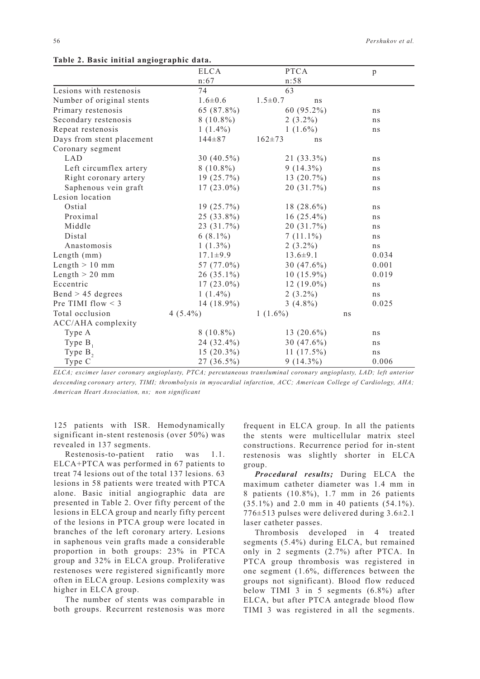|                           | <b>ELCA</b>    | <b>PTCA</b>         | p     |
|---------------------------|----------------|---------------------|-------|
|                           | n:67           | n:58                |       |
| Lesions with restenosis   | 74             | 63                  |       |
| Number of original stents | $1.6 \pm 0.6$  | $1.5 \pm 0.7$<br>ns |       |
| Primary restenosis        | 65 (87.8%)     | 60 (95.2%)          | ns    |
| Secondary restenosis      | $8(10.8\%)$    | $2(3.2\%)$          | ns    |
| Repeat restenosis         | $1(1.4\%)$     | $1(1.6\%)$          | ns    |
| Days from stent placement | $144 + 87$     | $162 + 73$<br>ns    |       |
| Coronary segment          |                |                     |       |
| <b>LAD</b>                | 30 $(40.5\%)$  | $21(33.3\%)$        | ns    |
| Left circumflex artery    | $8(10.8\%)$    | $9(14.3\%)$         | ns    |
| Right coronary artery     | $19(25.7\%)$   | $13(20.7\%)$        | ns    |
| Saphenous vein graft      | $17(23.0\%)$   | 20 (31.7%)          | ns    |
| Lesion location           |                |                     |       |
| Ostial                    | $19(25.7\%)$   | 18 $(28.6\%)$       | ns    |
| Proximal                  | $25(33.8\%)$   | $16(25.4\%)$        | ns    |
| Middle                    | 23 (31.7%)     | 20 (31.7%)          | ns    |
| Distal                    | $6(8.1\%)$     | $7(11.1\%)$         | ns    |
| Anastomosis               | $1(1.3\%)$     | $2(3.2\%)$          | ns    |
| Length (mm)               | $17.1 \pm 9.9$ | $13.6 \pm 9.1$      | 0.034 |
| Length $> 10$ mm          | 57 (77.0%)     | 30 $(47.6\%)$       | 0.001 |
| Length $> 20$ mm          | $26(35.1\%)$   | $10(15.9\%)$        | 0.019 |
| Eccentric                 | $17(23.0\%)$   | $12(19.0\%)$        | ns    |
| $Bend > 45$ degrees       | $1(1.4\%)$     | $2(3.2\%)$          | ns    |
| Pre TIMI flow $\leq$ 3    | 14 (18.9%)     | $3(4.8\%)$          | 0.025 |
| Total occlusion           | $4(5.4\%)$     | $1(1.6\%)$          | ns    |
| ACC/AHA complexity        |                |                     |       |
| Type A                    | $8(10.8\%)$    | 13 $(20.6\%)$       | ns    |
| Type $B_1$                | 24 (32.4%)     | 30 $(47.6\%)$       | ns    |
| Type $B_2$                | $15(20.3\%)$   | $11(17.5\%)$        | ns    |
| Type C                    | 27 (36.5%)     | $9(14.3\%)$         | 0.006 |

**Table 2. Basic initial angiographic data.**

*ELCA; excimer laser coronary angioplasty, PTCA; percutaneous transluminal coronary angioplasty, LAD; left anterior descending coronary artery, TIMI; thrombolysis in myocardial infarction, ACC; American College of Cardiology, AHA; American Heart Association, ns; non significant*

125 patients with ISR. Hemodynamically significant in-stent restenosis (over 50%) was revealed in 137 segments.

Restenosis-to-patient ratio was 1.1. ELCA+PTCA was performed in 67 patients to treat 74 lesions out of the total 137 lesions. 63 lesions in 58 patients were treated with PTCA alone. Basic initial angiographic data are presented in Table 2. Over fifty percent of the lesions in ELCA group and nearly fifty percent of the lesions in PTCA group were located in branches of the left coronary artery. Lesions in saphenous vein grafts made a considerable proportion in both groups: 23% in PTCA group and 32% in ELCA group. Proliferative restenoses were registered significantly more often in ELCA group. Lesions complexity was higher in ELCA group.

The number of stents was comparable in both groups. Recurrent restenosis was more

frequent in ELCA group. In all the patients the stents were multicellular matrix steel constructions. Recurrence period for in-stent restenosis was slightly shorter in ELCA group.

*Procedural results;* During ELCA the maximum catheter diameter was 1.4 mm in 8 patients (10.8%), 1.7 mm in 26 patients (35.1%) and 2.0 mm in 40 patients (54.1%). 776±513 pulses were delivered during 3.6±2.1 laser catheter passes.

Thrombosis developed in 4 treated segments (5.4%) during ELCA, but remained only in 2 segments (2.7%) after PTCA. In PTCA group thrombosis was registered in one segment (1.6%, differences between the groups not significant). Blood flow reduced below TIMI 3 in 5 segments (6.8%) after ELCA, but after PTCA antegrade blood flow TIMI 3 was registered in all the segments.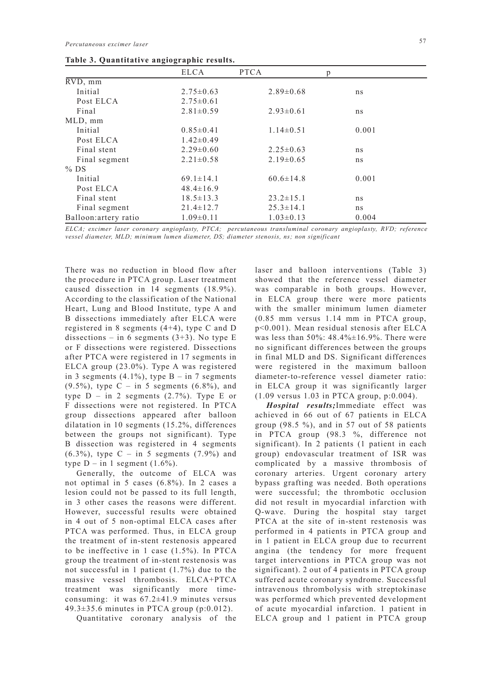|                              | ELCA            | <b>PTCA</b>     | p     |
|------------------------------|-----------------|-----------------|-------|
| $\overline{\text{RVD}}$ , mm |                 |                 |       |
| Initial                      | $2.75 \pm 0.63$ | $2.89 \pm 0.68$ | ns    |
| Post ELCA                    | $2.75 \pm 0.61$ |                 |       |
| Final                        | $2.81 \pm 0.59$ | $2.93 \pm 0.61$ | ns    |
| MLD, mm                      |                 |                 |       |
| Initial                      | $0.85 \pm 0.41$ | $1.14\pm0.51$   | 0.001 |
| Post ELCA                    | $1.42 \pm 0.49$ |                 |       |
| Final stent                  | $2.29 \pm 0.60$ | $2.25 \pm 0.63$ | ns    |
| Final segment                | $2.21 \pm 0.58$ | $2.19\pm0.65$   | ns    |
| $%$ DS                       |                 |                 |       |
| Initial                      | $69.1 \pm 14.1$ | $60.6 \pm 14.8$ | 0.001 |
| Post ELCA                    | $48.4 \pm 16.9$ |                 |       |
| Final stent                  | $18.5 \pm 13.3$ | $23.2 \pm 15.1$ | ns    |
| Final segment                | $21.4 \pm 12.7$ | $25.3 \pm 14.1$ | ns    |
| Balloon: artery ratio        | $1.09\pm0.11$   | $1.03 \pm 0.13$ | 0.004 |

**Table 3. Quantitative angiographic results.**

*ELCA; excimer laser coronary angioplasty, PTCA; percutaneous transluminal coronary angioplasty, RVD; reference vessel diameter, MLD; minimum lumen diameter, DS; diameter stenosis, ns; non significant*

There was no reduction in blood flow after the procedure in PTCA group. Laser treatment caused dissection in 14 segments (18.9%). According to the classification of the National Heart, Lung and Blood Institute, type A and B dissections immediately after ELCA were registered in 8 segments (4+4), type C and D dissections – in 6 segments  $(3+3)$ . No type E or F dissections were registered. Dissections after PTCA were registered in 17 segments in ELCA group (23.0%). Type A was registered in 3 segments  $(4.1\%)$ , type B – in 7 segments  $(9.5\%)$ , type C – in 5 segments  $(6.8\%)$ , and type  $D - in 2$  segments  $(2.7\%)$ . Type E or F dissections were not registered. In PTCA group dissections appeared after balloon dilatation in 10 segments (15.2%, differences between the groups not significant). Type B dissection was registered in 4 segments  $(6.3\%)$ , type C – in 5 segments  $(7.9\%)$  and type  $D - in 1$  segment  $(1.6\%)$ .

Generally, the outcome of ELCA was not optimal in 5 cases (6.8%). In 2 cases a lesion could not be passed to its full length, in 3 other cases the reasons were different. However, successful results were obtained in 4 out of 5 non-optimal ELCA cases after PTCA was performed. Thus, in ELCA group the treatment of in-stent restenosis appeared to be ineffective in 1 case (1.5%). In PTCA group the treatment of in-stent restenosis was not successful in 1 patient (1.7%) due to the massive vessel thrombosis. ELCA+PTCA treatment was significantly more timeconsuming: it was 67.2±41.9 minutes versus 49.3±35.6 minutes in PTCA group (p:0.012).

Quantitative coronary analysis of the

laser and balloon interventions (Table 3) showed that the reference vessel diameter was comparable in both groups. However, in ELCA group there were more patients with the smaller minimum lumen diameter (0.85 mm versus 1.14 mm in PTCA group, p<0.001). Mean residual stenosis after ELCA was less than 50%: 48.4%±16.9%. There were no significant differences between the groups in final MLD and DS. Significant differences were registered in the maximum balloon diameter-to-reference vessel diameter ratio: in ELCA group it was significantly larger (1.09 versus 1.03 in PTCA group, p:0.004).

*Hospital results;*Immediate effect was achieved in 66 out of 67 patients in ELCA group  $(98.5 \%)$ , and in 57 out of 58 patients in PTCA group (98.3 %, difference not significant). In 2 patients (1 patient in each group) endovascular treatment of ISR was complicated by a massive thrombosis of coronary arteries. Urgent coronary artery bypass grafting was needed. Both operations were successful; the thrombotic occlusion did not result in myocardial infarction with Q-wave. During the hospital stay target PTCA at the site of in-stent restenosis was performed in 4 patients in PTCA group and in 1 patient in ELCA group due to recurrent angina (the tendency for more frequent target interventions in PTCA group was not significant). 2 out of 4 patients in PTCA group suffered acute coronary syndrome. Successful intravenous thrombolysis with streptokinase was performed which prevented development of acute myocardial infarction. 1 patient in ELCA group and 1 patient in PTCA group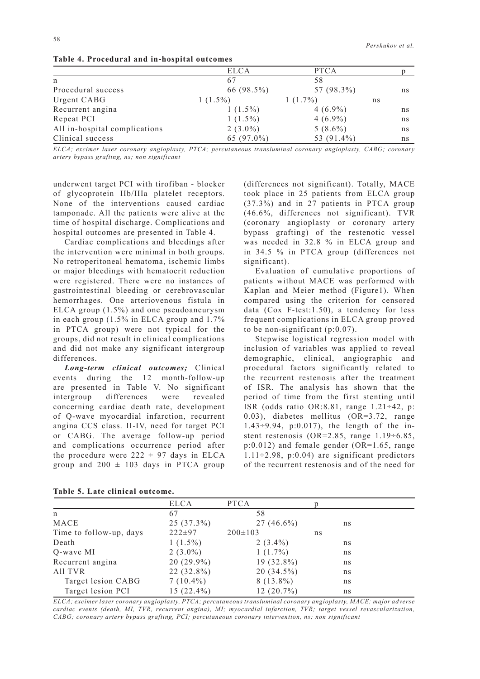|                               | <b>ELCA</b> | <b>PTCA</b> |    |    |
|-------------------------------|-------------|-------------|----|----|
| $\mathsf{n}$                  |             | 58          |    |    |
| Procedural success            | 66 (98.5%)  | 57 (98.3%)  |    | ns |
| Urgent CABG                   | $1(1.5\%)$  | $1(1.7\%)$  | ns |    |
| Recurrent angina              | $1(1.5\%)$  | $4(6.9\%)$  |    | ns |
| Repeat PCI                    | $1(1.5\%)$  | $4(6.9\%)$  |    | ns |
| All in-hospital complications | $2(3.0\%)$  | $5(8.6\%)$  |    | ns |
| Clinical success              | 65 (97.0%)  | 53 (91.4%)  |    | ns |

**Table 4. Procedural and in-hospital outcomes**

*ELCA; excimer laser coronary angioplasty, PTCA; percutaneous transluminal coronary angioplasty, CABG; coronary artery bypass grafting, ns; non significant*

underwent target PCI with tirofiban - blocker of glycoprotein IIb/IIIa platelet receptors. None of the interventions caused cardiac tamponade. All the patients were alive at the time of hospital discharge. Complications and hospital outcomes are presented in Table 4.

Cardiac complications and bleedings after the intervention were minimal in both groups. No retroperitoneal hematoma, ischemic limbs or major bleedings with hematocrit reduction were registered. There were no instances of gastrointestinal bleeding or cerebrovascular hemorrhages. One arteriovenous fistula in ELCA group (1.5%) and one pseudoaneurysm in each group (1.5% in ELCA group and 1.7% in PTCA group) were not typical for the groups, did not result in clinical complications and did not make any significant intergroup differences.

*Long-term clinical outcomes;* Clinical events during the 12 month-follow-up are presented in Table V. No significant intergroup differences were revealed concerning cardiac death rate, development of Q-wave myocardial infarction, recurrent angina CCS class. II-IV, need for target PCI or CABG. The average follow-up period and complications occurrence period after the procedure were  $222 \pm 97$  days in ELCA group and  $200 \pm 103$  days in PTCA group (differences not significant). Totally, MACE took place in 25 patients from ELCA group (37.3%) and in 27 patients in PTCA group (46.6%, differences not significant). TVR (coronary angioplasty or coronary artery bypass grafting) of the restenotic vessel was needed in 32.8 % in ELCA group and in 34.5 % in PTCA group (differences not significant).

Evaluation of cumulative proportions of patients without MACE was performed with Kaplan and Meier method (Figure1). When compared using the criterion for censored data (Cox F-test:1.50), a tendency for less frequent complications in ELCA group proved to be non-significant (p:0.07).

Stepwise logistical regression model with inclusion of variables was applied to reveal demographic, clinical, angiographic and procedural factors significantly related to the recurrent restenosis after the treatment of ISR. The analysis has shown that the period of time from the first stenting until ISR (odds ratio OR:8.81, range 1.21÷42, p: 0.03), diabetes mellitus (OR=3.72, range 1.43÷9.94, p:0.017), the length of the instent restenosis (OR=2.85, range 1.19÷6.85, p:0.012) and female gender (OR=1.65, range  $1.11 \div 2.98$ , p:0.04) are significant predictors of the recurrent restenosis and of the need for

| Table of Eate charten buttome. |              |               |    |    |
|--------------------------------|--------------|---------------|----|----|
|                                | ELCA         | <b>PTCA</b>   |    |    |
| n                              | 67           | 58            |    |    |
| MACE                           | $25(37.3\%)$ | $27(46.6\%)$  |    | ns |
| Time to follow-up, days        | $222 \pm 97$ | $200 \pm 103$ | ns |    |
| Death                          | $1(1.5\%)$   | $2(3.4\%)$    |    | ns |
| Q-wave MI                      | $2(3.0\%)$   | $1(1.7\%)$    |    | ns |
| Recurrent angina               | $20(29.9\%)$ | $19(32.8\%)$  |    | ns |
| All TVR                        | 22 (32.8%)   | $20(34.5\%)$  |    | ns |
| Target lesion CABG             | $7(10.4\%)$  | $8(13.8\%)$   |    | ns |
| Target lesion PCI              | $15(22.4\%)$ | $12(20.7\%)$  |    | ns |

|  |  |  |  | Table 5. Late clinical outcome. |
|--|--|--|--|---------------------------------|
|--|--|--|--|---------------------------------|

*ELCA; excimer laser coronary angioplasty, PTCA; percutaneous transluminal coronary angioplasty, MACE; major adverse cardiac events (death, MI, TVR, recurrent angina), MI; myocardial infarction, TVR; target vessel revascularization, CABG; coronary artery bypass grafting, PCI; percutaneous coronary intervention, ns; non significant*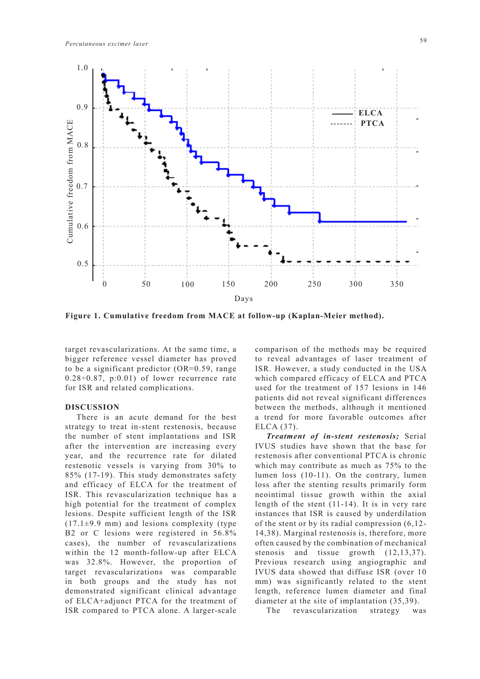

**Figure 1. Cumulative freedom from MACE at follow-up (Kaplan-Meier method).**

target revascularizations. At the same time, a bigger reference vessel diameter has proved to be a significant predictor (OR=0.59, range  $0.28 \div 0.87$ , p:0.01) of lower recurrence rate for ISR and related complications.

#### **DISCUSSION**

There is an acute demand for the best strategy to treat in-stent restenosis, because the number of stent implantations and ISR after the intervention are increasing every year, and the recurrence rate for dilated restenotic vessels is varying from 30% to 85% (17-19). This study demonstrates safety and efficacy of ELCA for the treatment of ISR. This revascularization technique has a high potential for the treatment of complex lesions. Despite sufficient length of the ISR  $(17.1\pm9.9 \text{ mm})$  and lesions complexity (type B2 or C lesions were registered in 56.8% cases), the number of revascularizations within the 12 month-follow-up after ELCA was 32.8%. However, the proportion of target revascularizations was comparable in both groups and the study has not demonstrated significant clinical advantage of ELCA+adjunct PTCA for the treatment of ISR compared to PTCA alone. A larger-scale comparison of the methods may be required to reveal advantages of laser treatment of ISR. However, a study conducted in the USA which compared efficacy of ELCA and PTCA used for the treatment of 157 lesions in 146 patients did not reveal significant differences between the methods, although it mentioned a trend for more favorable outcomes after ELCA (37).

*Treatment of in-stent restenosis;* Serial IVUS studies have shown that the base for restenosis after conventional PTCA is chronic which may contribute as much as 75% to the lumen loss (10-11). On the contrary, lumen loss after the stenting results primarily form neointimal tissue growth within the axial length of the stent (11-14). It is in very rare instances that ISR is caused by underdilation of the stent or by its radial compression (6,12- 14,38). Marginal restenosis is, therefore, more often caused by the combination of mechanical stenosis and tissue growth (12,13,37). Previous research using angiographic and IVUS data showed that diffuse ISR (over 10 mm) was significantly related to the stent length, reference lumen diameter and final diameter at the site of implantation (35,39).

The revascularization strategy was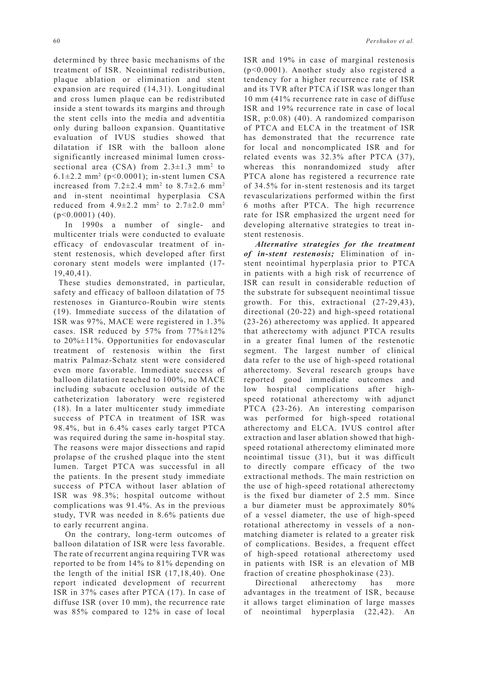determined by three basic mechanisms of the treatment of ISR. Neointimal redistribution, plaque ablation or elimination and stent expansion are required (14,31). Longitudinal and cross lumen plaque can be redistributed inside a stent towards its margins and through the stent cells into the media and adventitia only during balloon expansion. Quantitative evaluation of IVUS studies showed that dilatation if ISR with the balloon alone significantly increased minimal lumen crosssectional area  $(CSA)$  from  $2.3 \pm 1.3$  mm<sup>2</sup> to 6.1 $\pm$ 2.2 mm<sup>2</sup> (p<0.0001); in-stent lumen CSA increased from  $7.2\pm2.4$  mm<sup>2</sup> to  $8.7\pm2.6$  mm<sup>2</sup> and in-stent neointimal hyperplasia CSA reduced from  $4.9 \pm 2.2$  mm<sup>2</sup> to  $2.7 \pm 2.0$  mm<sup>2</sup>  $(p<0.0001)$  (40).

In 1990s a number of single- and multicenter trials were conducted to evaluate efficacy of endovascular treatment of instent restenosis, which developed after first coronary stent models were implanted (17- 19,40,41).

 These studies demonstrated, in particular, safety and efficacy of balloon dilatation of 75 restenoses in Gianturco-Roubin wire stents (19). Immediate success of the dilatation of ISR was 97%, MACE were registered in 1.3% cases. ISR reduced by 57% from 77%±12% to 20%±11%. Opportunities for endovascular treatment of restenosis within the first matrix Palmaz-Schatz stent were considered even more favorable. Immediate success of balloon dilatation reached to 100%, no MACE including subacute occlusion outside of the catheterization laboratory were registered (18). In a later multicenter study immediate success of PTCA in treatment of ISR was 98.4%, but in 6.4% cases early target PTCA was required during the same in-hospital stay. The reasons were major dissections and rapid prolapse of the crushed plaque into the stent lumen. Target PTCA was successful in all the patients. In the present study immediate success of PTCA without laser ablation of ISR was 98.3%; hospital outcome without complications was 91.4%. As in the previous study, TVR was needed in 8.6% patients due to early recurrent angina.

On the contrary, long-term outcomes of balloon dilatation of ISR were less favorable. The rate of recurrent angina requiring TVR was reported to be from 14% to 81% depending on the length of the initial ISR (17,18,40). One report indicated development of recurrent ISR in 37% cases after PTCA (17). In case of diffuse ISR (over 10 mm), the recurrence rate was 85% compared to 12% in case of local

ISR and 19% in case of marginal restenosis (p<0.0001). Another study also registered a tendency for a higher recurrence rate of ISR and its TVR after PTCA if ISR was longer than 10 mm (41% recurrence rate in case of diffuse ISR and 19% recurrence rate in case of local ISR, p:0.08) (40). A randomized comparison of PTCA and ELCA in the treatment of ISR has demonstrated that the recurrence rate for local and noncomplicated ISR and for related events was 32.3% after PTCA (37), whereas this nonrandomized study after PTCA alone has registered a recurrence rate of 34.5% for in-stent restenosis and its target revascularizations performed within the first 6 moths after PTCA. The high recurrence rate for ISR emphasized the urgent need for developing alternative strategies to treat instent restenosis.

*Alternative strategies for the treatment of in-stent restenosis;* Elimination of instent neointimal hyperplasia prior to PTCA in patients with a high risk of recurrence of ISR can result in considerable reduction of the substrate for subsequent neointimal tissue growth. For this, extractional (27-29,43), directional (20-22) and high-speed rotational (23-26) atherectomy was applied. It appeared that atherectomy with adjunct PTCA results in a greater final lumen of the restenotic segment. The largest number of clinical data refer to the use of high-speed rotational atherectomy. Several research groups have reported good immediate outcomes and low hospital complications after highspeed rotational atherectomy with adjunct PTCA (23-26). An interesting comparison was performed for high-speed rotational atherectomy and ELCA. IVUS control after extraction and laser ablation showed that highspeed rotational atherectomy eliminated more neointimal tissue (31), but it was difficult to directly compare efficacy of the two extractional methods. The main restriction on the use of high-speed rotational atherectomy is the fixed bur diameter of 2.5 mm. Since a bur diameter must be approximately 80% of a vessel diameter, the use of high-speed rotational atherectomy in vessels of a nonmatching diameter is related to a greater risk of complications. Besides, a frequent effect of high-speed rotational atherectomy used in patients with ISR is an elevation of MB fraction of creatine phosphokinase (23).

Directional atherectomy has more advantages in the treatment of ISR, because it allows target elimination of large masses of neointimal hyperplasia (22,42). An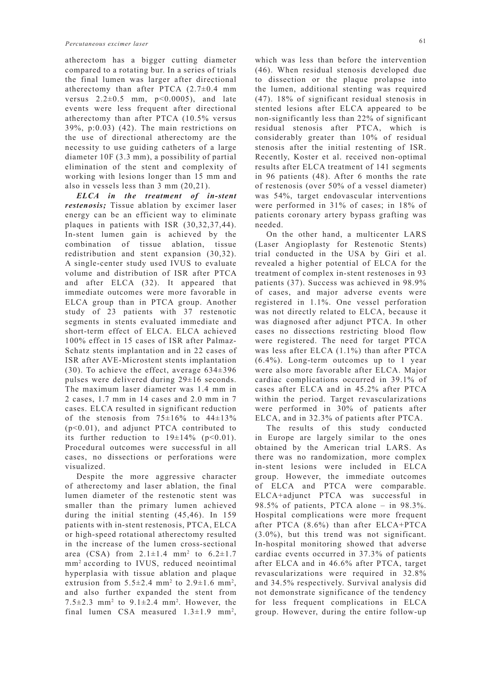atherectom has a bigger cutting diameter compared to a rotating bur. In a series of trials the final lumen was larger after directional atherectomy than after PTCA  $(2.7\pm0.4$  mm versus  $2.2 \pm 0.5$  mm,  $p < 0.0005$ ), and late events were less frequent after directional atherectomy than after PTCA (10.5% versus 39%, p:0.03) (42). The main restrictions on the use of directional atherectomy are the necessity to use guiding catheters of a large diameter 10F (3.3 mm), a possibility of partial elimination of the stent and complexity of working with lesions longer than 15 mm and also in vessels less than 3 mm (20,21).

*ELCA in the treatment of in-stent restenosis;* Tissue ablation by excimer laser energy can be an efficient way to eliminate plaques in patients with ISR (30,32,37,44). In-stent lumen gain is achieved by the combination of tissue ablation, tissue redistribution and stent expansion (30,32). A single-center study used IVUS to evaluate volume and distribution of ISR after PTCA and after ELCA (32). It appeared that immediate outcomes were more favorable in ELCA group than in PTCA group. Another study of 23 patients with 37 restenotic segments in stents evaluated immediate and short-term effect of ELCA. ELCA achieved 100% effect in 15 cases of ISR after Palmaz-Schatz stents implantation and in 22 cases of ISR after AVE-Microstent stents implantation (30). To achieve the effect, average  $634\pm396$ pulses were delivered during 29±16 seconds. The maximum laser diameter was 1.4 mm in 2 cases, 1.7 mm in 14 cases and 2.0 mm in 7 cases. ELCA resulted in significant reduction of the stenosis from  $75\pm16\%$  to  $44\pm13\%$ (p<0.01), and adjunct PTCA contributed to its further reduction to  $19\pm14\%$  (p<0.01). Procedural outcomes were successful in all cases, no dissections or perforations were visualized.

Despite the more aggressive character of atherectomy and laser ablation, the final lumen diameter of the restenotic stent was smaller than the primary lumen achieved during the initial stenting (45,46). In 159 patients with in-stent restenosis, PTCA, ELCA or high-speed rotational atherectomy resulted in the increase of the lumen cross-sectional area (CSA) from  $2.1 \pm 1.4$  mm<sup>2</sup> to  $6.2 \pm 1.7$ mm2 according to IVUS, reduced neointimal hyperplasia with tissue ablation and plaque extrusion from  $5.5\pm2.4$  mm<sup>2</sup> to  $2.9\pm1.6$  mm<sup>2</sup>, and also further expanded the stent from 7.5 $\pm$ 2.3 mm<sup>2</sup> to 9.1 $\pm$ 2.4 mm<sup>2</sup>. However, the final lumen CSA measured  $1.3 \pm 1.9$  mm<sup>2</sup>, which was less than before the intervention (46). When residual stenosis developed due to dissection or the plaque prolapse into the lumen, additional stenting was required (47). 18% of significant residual stenosis in stented lesions after ELCA appeared to be non-significantly less than 22% of significant residual stenosis after PTCA, which is considerably greater than 10% of residual stenosis after the initial restenting of ISR. Recently, Koster et al. received non-optimal results after ELCA treatment of 141 segments in 96 patients (48). After 6 months the rate of restenosis (over 50% of a vessel diameter) was 54%, target endovascular interventions were performed in 31% of cases; in 18% of patients coronary artery bypass grafting was needed.

On the other hand, a multicenter LARS (Laser Angioplasty for Restenotic Stents) trial conducted in the USA by Giri et al. revealed a higher potential of ELCA for the treatment of complex in-stent restenoses in 93 patients (37). Success was achieved in 98.9% of cases, and major adverse events were registered in 1.1%. One vessel perforation was not directly related to ELCA, because it was diagnosed after adjunct PTCA. In other cases no dissections restricting blood flow were registered. The need for target PTCA was less after ELCA (1.1%) than after PTCA (6.4%). Long-term outcomes up to 1 year were also more favorable after ELCA. Major cardiac complications occurred in 39.1% of cases after ELCA and in 45.2% after PTCA within the period. Target revascularizations were performed in 30% of patients after ELCA, and in 32.3% of patients after PTCA.

The results of this study conducted in Europe are largely similar to the ones obtained by the American trial LARS. As there was no randomization, more complex in-stent lesions were included in ELCA group. However, the immediate outcomes of ELCA and PTCA were comparable. ELCA+adjunct PTCA was successful in 98.5% of patients, PTCA alone – in 98.3%. Hospital complications were more frequent after PTCA (8.6%) than after ELCA+PTCA (3.0%), but this trend was not significant. In-hospital monitoring showed that adverse cardiac events occurred in 37.3% of patients after ELCA and in 46.6% after PTCA, target revascularizations were required in 32.8% and 34.5% respectively. Survival analysis did not demonstrate significance of the tendency for less frequent complications in ELCA group. However, during the entire follow-up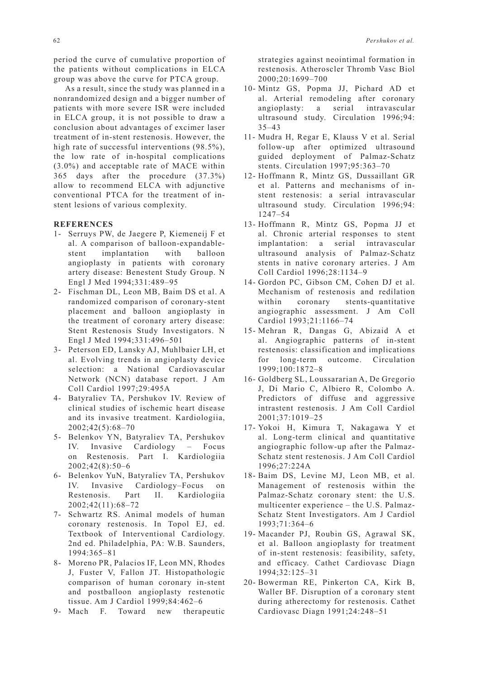period the curve of cumulative proportion of the patients without complications in ELCA group was above the curve for PTCA group.

As a result, since the study was planned in a nonrandomized design and a bigger number of patients with more severe ISR were included in ELCA group, it is not possible to draw a conclusion about advantages of excimer laser treatment of in-stent restenosis. However, the high rate of successful interventions (98.5%), the low rate of in-hospital complications (3.0%) and acceptable rate of MACE within 365 days after the procedure (37.3%) allow to recommend ELCA with adjunctive conventional PTCA for the treatment of instent lesions of various complexity.

## **REFERENCES**

- 1- Serruys PW, de Jaegere P, Kiemeneij F et al. A comparison of balloon-expandablestent implantation with balloon angioplasty in patients with coronary artery disease: Benestent Study Group. N Engl J Med 1994;331:489–95
- 2- Fischman DL, Leon MB, Baim DS et al. A randomized comparison of coronary-stent placement and balloon angioplasty in the treatment of coronary artery disease: Stent Restenosis Study Investigators. N Engl J Med 1994;331:496–501
- 3- Peterson ED, Lansky AJ, Muhlbaier LH, et al. Evolving trends in angioplasty device selection: a National Cardiovascular Network (NCN) database report. J Am Coll Cardiol 1997;29:495A
- 4- Batyraliev TA, Pershukov IV. Review of clinical studies of ischemic heart disease and its invasive treatment. Kardiologiia, 2002;42(5):68–70
- 5- Belenkov YN, Batyraliev TA, Pershukov IV. Invasive Cardiology – Focus on Restenosis. Part I. Kardiologiia 2002;42(8):50–6
- 6- Belenkov YuN, Batyraliev TA, Pershukov IV. Invasive Cardiology–Focus on Restenosis. Part II. Kardiologiia 2002;42(11):68–72
- 7- Schwartz RS. Animal models of human coronary restenosis. In Topol EJ, ed. Textbook of Interventional Cardiology. 2nd ed. Philadelphia, PA: W.B. Saunders, 1994:365–81
- 8- Moreno PR, Palacios IF, Leon MN, Rhodes J, Fuster V, Fallon JT. Histopathologic comparison of human coronary in-stent and postballoon angioplasty restenotic tissue. Am J Cardiol 1999;84:462–6
- 9- Mach F. Toward new therapeutic

strategies against neointimal formation in restenosis. Atheroscler Thromb Vasc Biol 2000;20:1699–700

- 10- Mintz GS, Popma JJ, Pichard AD et al. Arterial remodeling after coronary angioplasty: a serial intravascular ultrasound study. Circulation 1996;94: 35–43
- 11- Mudra H, Regar E, Klauss V et al. Serial follow-up after optimized ultrasound guided deployment of Palmaz-Schatz stents. Circulation 1997;95:363–70
- 12- Hoffmann R, Mintz GS, Dussaillant GR et al. Patterns and mechanisms of instent restenosis: a serial intravascular ultrasound study. Circulation 1996;94: 1247–54
- 13- Hoffmann R, Mintz GS, Popma JJ et al. Chronic arterial responses to stent implantation: a serial intravascular ultrasound analysis of Palmaz-Schatz stents in native coronary arteries. J Am Coll Cardiol 1996;28:1134–9
- 14- Gordon PC, Gibson CM, Cohen DJ et al. Mechanism of restenosis and redilation within coronary stents-quantitative angiographic assessment. J Am Coll Cardiol 1993;21:1166–74
- 15- Mehran R, Dangas G, Abizaid A et al. Angiographic patterns of in-stent restenosis: classification and implications for long-term outcome. Circulation 1999;100:1872–8
- 16- Goldberg SL, Loussararian A, De Gregorio J, Di Mario C, Albiero R, Colombo A. Predictors of diffuse and aggressive intrastent restenosis. J Am Coll Cardiol 2001;37:1019–25
- 17- Yokoi H, Kimura T, Nakagawa Y et al. Long-term clinical and quantitative angiographic follow-up after the Palmaz-Schatz stent restenosis. J Am Coll Cardiol  $1996 \cdot 27 \cdot 224$  A
- 18- Baim DS, Levine MJ, Leon MB, et al. Management of restenosis within the Palmaz-Schatz coronary stent: the U.S. multicenter experience – the U.S. Palmaz-Schatz Stent Investigators. Am J Cardiol 1993;71:364–6
- 19- Macander PJ, Roubin GS, Agrawal SK, et al. Balloon angioplasty for treatment of in-stent restenosis: feasibility, safety, and efficacy. Cathet Cardiovasc Diagn 1994;32:125–31
- 20- Bowerman RE, Pinkerton CA, Kirk B, Waller BF. Disruption of a coronary stent during atherectomy for restenosis. Cathet Cardiovasc Diagn 1991;24:248–51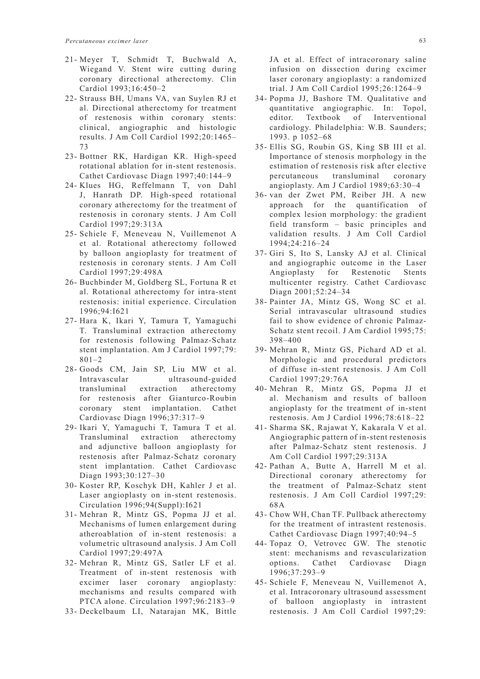- 21- Meyer T, Schmidt T, Buchwald A, Wiegand V. Stent wire cutting during coronary directional atherectomy. Clin Cardiol 1993;16:450–2
- 22- Strauss BH, Umans VA, van Suylen RJ et al. Directional atherectomy for treatment of restenosis within coronary stents: clinical, angiographic and histologic results. J Am Coll Cardiol 1992;20:1465– 73
- 23- Bottner RK, Hardigan KR. High-speed rotational ablation for in-stent restenosis. Cathet Cardiovasc Diagn 1997;40:144–9
- 24- Klues HG, Reffelmann T, von Dahl J, Hanrath DP. High-speed rotational coronary atherectomy for the treatment of restenosis in coronary stents. J Am Coll Cardiol 1997;29:313A
- 25- Schiele F, Meneveau N, Vuillemenot A et al. Rotational atherectomy followed by balloon angioplasty for treatment of restenosis in coronary stents. J Am Coll Cardiol 1997;29:498A
- 26- Buchbinder M, Goldberg SL, Fortuna R et al. Rotational atherectomy for intra-stent restenosis: initial experience. Circulation 1996;94:I621
- 27- Hara K, Ikari Y, Tamura T, Yamaguchi T. Transluminal extraction atherectomy for restenosis following Palmaz-Schatz stent implantation. Am J Cardiol 1997;79: 801–2
- 28- Goods CM, Jain SP, Liu MW et al. Intravascular ultrasound-guided transluminal extraction atherectomy for restenosis after Gianturco-Roubin coronary stent implantation. Cathet Cardiovasc Diagn 1996;37:317–9
- 29- Ikari Y, Yamaguchi T, Tamura T et al. Transluminal extraction atherectomy and adjunctive balloon angioplasty for restenosis after Palmaz-Schatz coronary stent implantation. Cathet Cardiovasc Diagn 1993;30:127–30
- 30- Koster RP, Koschyk DH, Kahler J et al. Laser angioplasty on in-stent restenosis. Circulation 1996;94(Suppl):I621
- 31- Mehran R, Mintz GS, Popma JJ et al. Mechanisms of lumen enlargement during atheroablation of in-stent restenosis: a volumetric ultrasound analysis. J Am Coll Cardiol 1997;29:497A
- 32- Mehran R, Mintz GS, Satler LF et al. Treatment of in-stent restenosis with excimer laser coronary angioplasty: mechanisms and results compared with PTCA alone. Circulation 1997;96:2183–9
- 33- Deckelbaum LI, Natarajan MK, Bittle

JA et al. Effect of intracoronary saline infusion on dissection during excimer laser coronary angioplasty: a randomized trial. J Am Coll Cardiol 1995;26:1264–9

- 34- Popma JJ, Bashore TM. Qualitative and quantitative angiographic. In: Topol, editor. Textbook of Interventional cardiology. Philadelphia: W.B. Saunders; 1993. p 1052–68
- 35- Ellis SG, Roubin GS, King SB III et al. Importance of stenosis morphology in the estimation of restenosis risk after elective percutaneous transluminal coronary angioplasty. Am J Cardiol 1989;63:30–4
- 36- van der Zwet PM, Reiber JH. A new approach for the quantification of complex lesion morphology: the gradient field transform – basic principles and validation results. J Am Coll Cardiol 1994;24:216–24
- 37- Giri S, Ito S, Lansky AJ et al. Clinical and angiographic outcome in the Laser Angioplasty for Restenotic Stents multicenter registry. Cathet Cardiovasc Diagn 2001;52:24–34
- 38- Painter JA, Mintz GS, Wong SC et al. Serial intravascular ultrasound studies fail to show evidence of chronic Palmaz-Schatz stent recoil. J Am Cardiol 1995;75: 398–400
- 39- Mehran R, Mintz GS, Pichard AD et al. Morphologic and procedural predictors of diffuse in-stent restenosis. J Am Coll Cardiol 1997;29:76A
- 40- Mehran R, Mintz GS, Popma JJ et al. Mechanism and results of balloon angioplasty for the treatment of in-stent restenosis. Am J Cardiol 1996;78:618–22
- 41- Sharma SK, Rajawat Y, Kakarala V et al. Angiographic pattern of in-stent restenosis after Palmaz-Schatz stent restenosis. J Am Coll Cardiol 1997;29:313A
- 42- Pathan A, Butte A, Harrell M et al. Directional coronary atherectomy for the treatment of Palmaz-Schatz stent restenosis. J Am Coll Cardiol 1997;29: 68A
- 43- Chow WH, Chan TF. Pullback atherectomy for the treatment of intrastent restenosis. Cathet Cardiovasc Diagn 1997;40:94–5
- 44- Topaz O, Vetrovec GW. The stenotic stent: mechanisms and revascularization options. Cathet Cardiovasc Diagn 1996;37:293–9
- 45- Schiele F, Meneveau N, Vuillemenot A, et al. Intracoronary ultrasound assessment of balloon angioplasty in intrastent restenosis. J Am Coll Cardiol 1997;29: